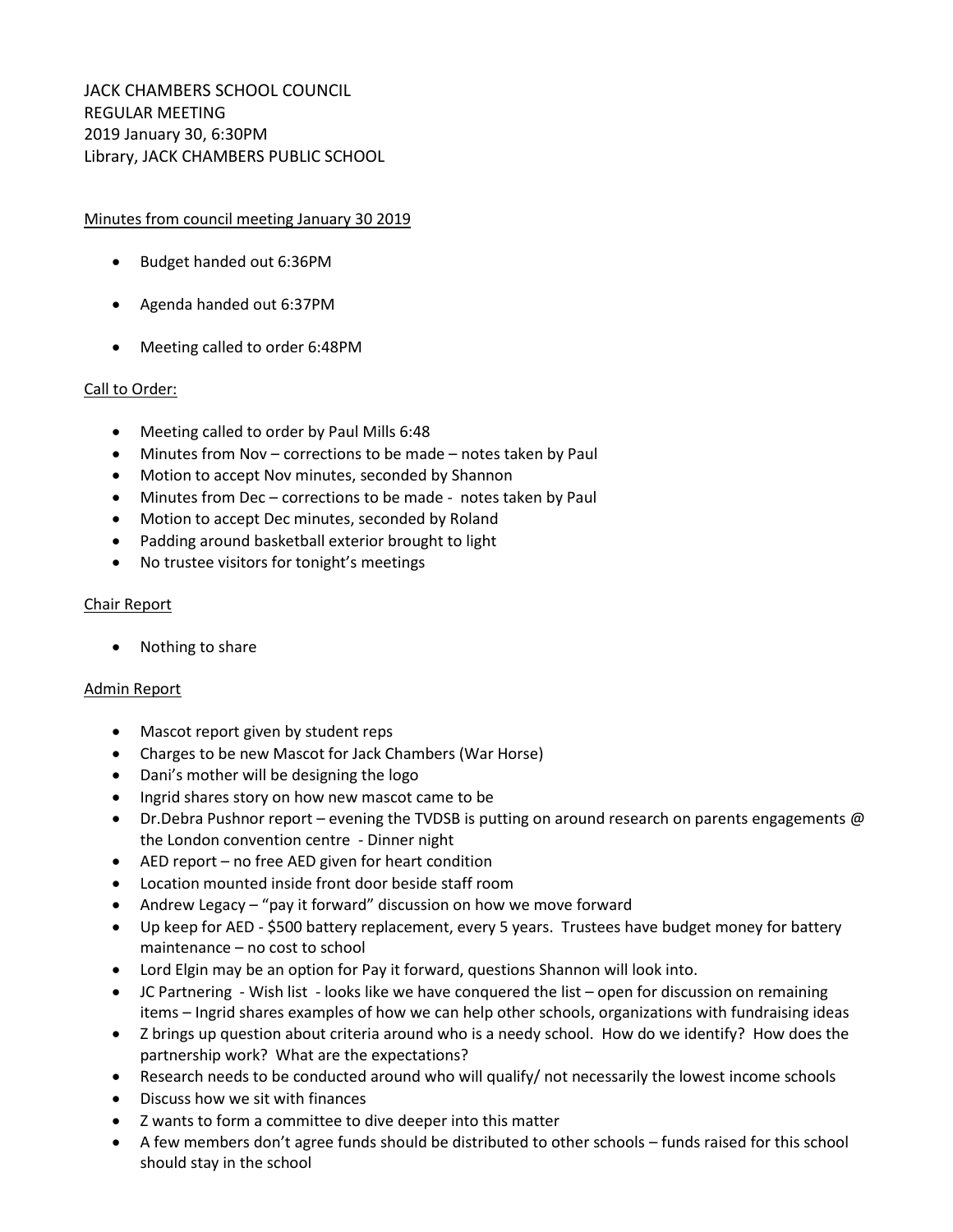# Minutes from council meeting January 30 2019

- Budget handed out 6:36PM
- Agenda handed out 6:37PM
- Meeting called to order 6:48PM

## Call to Order:

- Meeting called to order by Paul Mills 6:48
- Minutes from Nov corrections to be made notes taken by Paul
- Motion to accept Nov minutes, seconded by Shannon
- Minutes from Dec corrections to be made notes taken by Paul
- Motion to accept Dec minutes, seconded by Roland
- Padding around basketball exterior brought to light
- No trustee visitors for tonight's meetings

## Chair Report

• Nothing to share

## Admin Report

- Mascot report given by student reps
- Charges to be new Mascot for Jack Chambers (War Horse)
- Dani's mother will be designing the logo
- Ingrid shares story on how new mascot came to be
- Dr.Debra Pushnor report evening the TVDSB is putting on around research on parents engagements @ the London convention centre - Dinner night
- AED report no free AED given for heart condition
- Location mounted inside front door beside staff room
- Andrew Legacy "pay it forward" discussion on how we move forward
- Up keep for AED \$500 battery replacement, every 5 years. Trustees have budget money for battery maintenance – no cost to school
- Lord Elgin may be an option for Pay it forward, questions Shannon will look into.
- JC Partnering Wish list looks like we have conquered the list open for discussion on remaining items – Ingrid shares examples of how we can help other schools, organizations with fundraising ideas
- Z brings up question about criteria around who is a needy school. How do we identify? How does the partnership work? What are the expectations?
- Research needs to be conducted around who will qualify/ not necessarily the lowest income schools
- Discuss how we sit with finances
- Z wants to form a committee to dive deeper into this matter
- A few members don't agree funds should be distributed to other schools funds raised for this school should stay in the school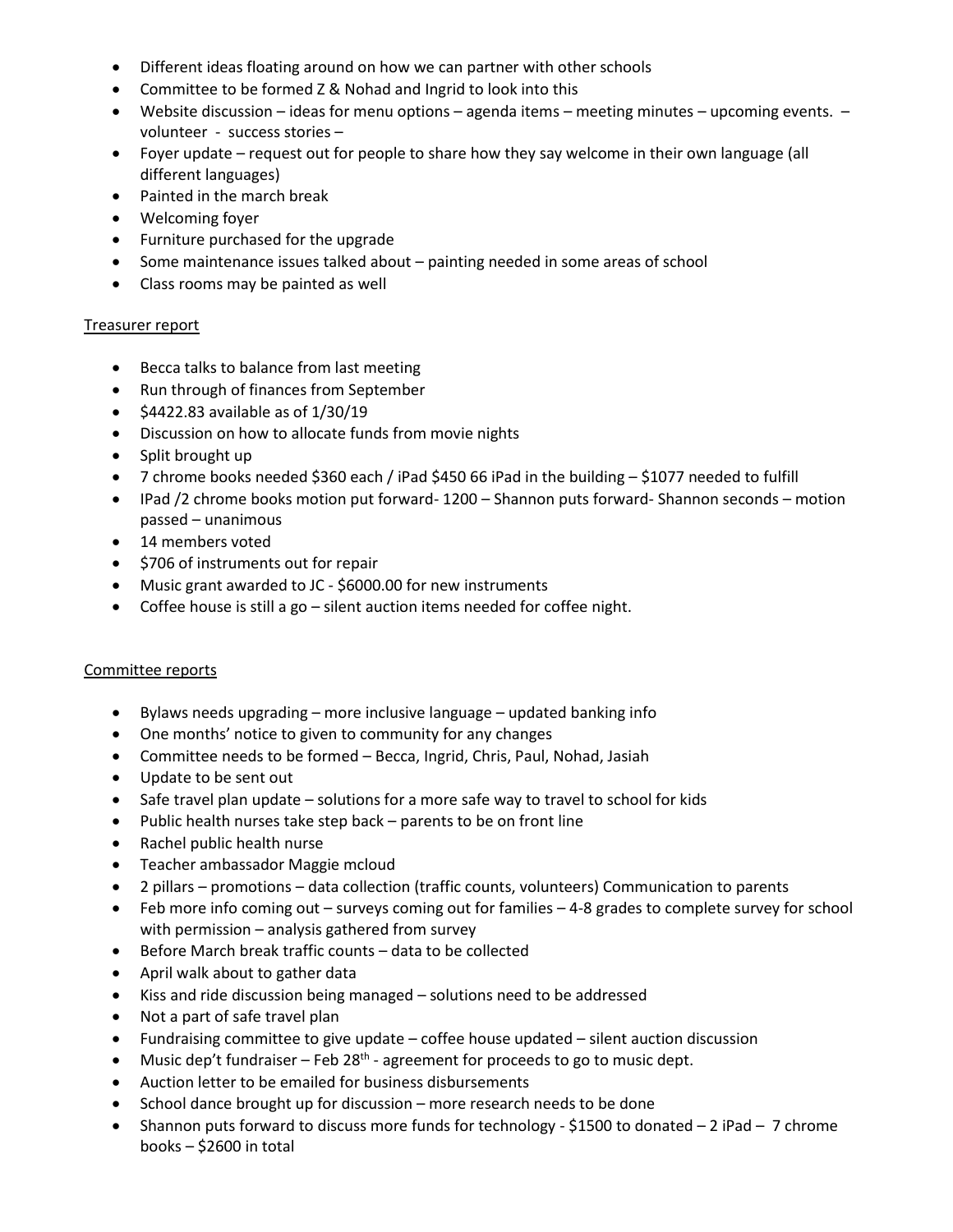- Different ideas floating around on how we can partner with other schools
- Committee to be formed Z & Nohad and Ingrid to look into this
- Website discussion ideas for menu options agenda items meeting minutes upcoming events. volunteer - success stories –
- Foyer update request out for people to share how they say welcome in their own language (all different languages)
- Painted in the march break
- Welcoming foyer
- Furniture purchased for the upgrade
- Some maintenance issues talked about painting needed in some areas of school
- Class rooms may be painted as well

### Treasurer report

- Becca talks to balance from last meeting
- Run through of finances from September
- $\bullet$  \$4422.83 available as of 1/30/19
- Discussion on how to allocate funds from movie nights
- $\bullet$  Split brought up
- 7 chrome books needed \$360 each / iPad \$450 66 iPad in the building \$1077 needed to fulfill
- $\bullet$  IPad /2 chrome books motion put forward- 1200 Shannon puts forward- Shannon seconds motion passed – unanimous
- 14 members voted
- \$706 of instruments out for repair
- Music grant awarded to JC \$6000.00 for new instruments
- Coffee house is still a go silent auction items needed for coffee night.

## Committee reports

- $\bullet$  Bylaws needs upgrading more inclusive language updated banking info
- One months' notice to given to community for any changes
- Committee needs to be formed Becca, Ingrid, Chris, Paul, Nohad, Jasiah
- Update to be sent out
- Safe travel plan update solutions for a more safe way to travel to school for kids
- Public health nurses take step back parents to be on front line
- Rachel public health nurse
- Teacher ambassador Maggie mcloud
- 2 pillars promotions data collection (traffic counts, volunteers) Communication to parents
- Feb more info coming out surveys coming out for families 4-8 grades to complete survey for school with permission – analysis gathered from survey
- Before March break traffic counts data to be collected
- April walk about to gather data
- Kiss and ride discussion being managed solutions need to be addressed
- Not a part of safe travel plan
- Fundraising committee to give update coffee house updated silent auction discussion
- Music dep't fundraiser  $-$  Feb 28<sup>th</sup> agreement for proceeds to go to music dept.
- Auction letter to be emailed for business disbursements
- School dance brought up for discussion more research needs to be done
- Shannon puts forward to discuss more funds for technology \$1500 to donated  $-2$  iPad  $-7$  chrome books – \$2600 in total